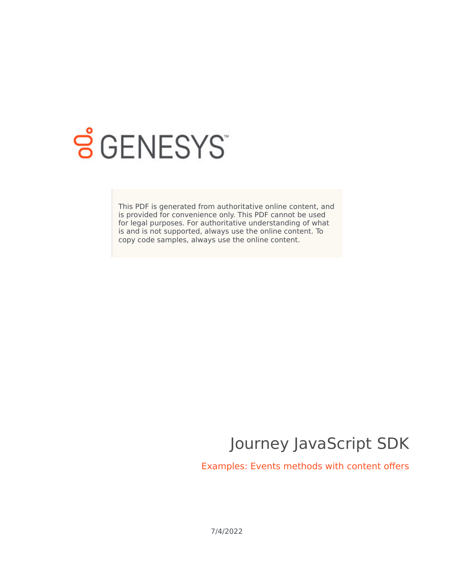

# **S** GENESYS

This PDF is generated from authoritative online content, and is provided for convenience only. This PDF cannot be used for legal purposes. For authoritative understanding of what is and is not supported, always use the online content. To copy code samples, always use the online content.

## Journey JavaScript SDK

Examples: Events methods with content offers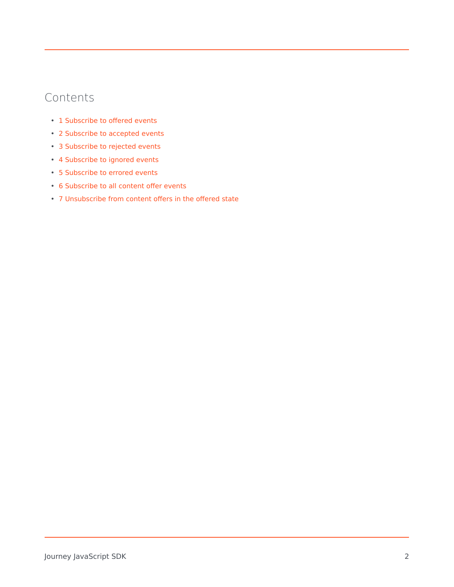#### Contents

- 1 [Subscribe to offered events](#page-2-0)
- 2 [Subscribe to accepted events](#page-2-1)
- 3 [Subscribe to rejected events](#page-2-2)
- 4 [Subscribe to ignored events](#page-2-3)
- 5 [Subscribe to errored events](#page-3-0)
- 6 [Subscribe to all content offer events](#page-3-1)
- 7 [Unsubscribe from content offers in the offered state](#page-3-2)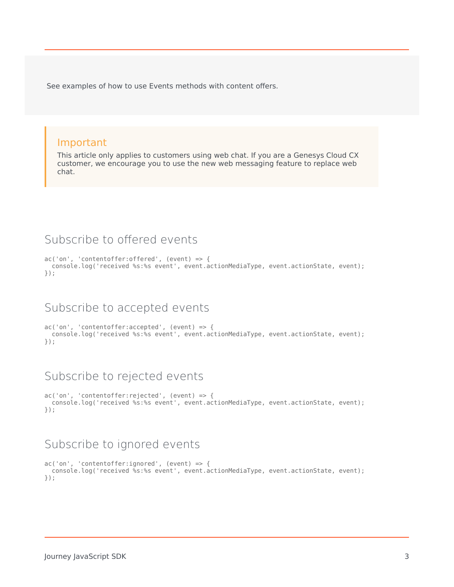See examples of how to use Events methods with content offers.

#### Important

This article only applies to customers using web chat. If you are a Genesys Cloud CX customer, we encourage you to use the new web messaging feature to replace web chat.

#### <span id="page-2-0"></span>Subscribe to offered events

```
ac('on', 'contentoffer:offered', (event) => {
 console.log('received %s:%s event', event.actionMediaType, event.actionState, event);
});
```
#### <span id="page-2-1"></span>Subscribe to accepted events

```
ac('on', 'contentoffer:accepted', (event) => {
 console.log('received %s:%s event', event.actionMediaType, event.actionState, event);
});
```
#### <span id="page-2-2"></span>Subscribe to rejected events

```
ac('on', 'contentoffer:rejected', (event) => {
 console.log('received %s:%s event', event.actionMediaType, event.actionState, event);
});
```
#### <span id="page-2-3"></span>Subscribe to ignored events

```
ac('on', 'contentoffer:ignored', (event) => {console.log('received %s:%s event', event.actionMediaType, event.actionState, event);
});
```